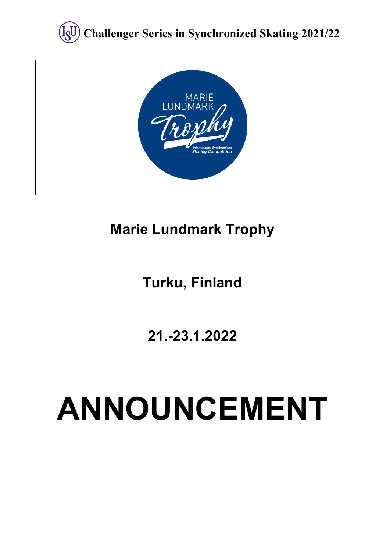



# **Marie Lundmark Trophy**

# **Turku, Finland**

**21.-23.1.2022**

# **ANNOUNCEMENT**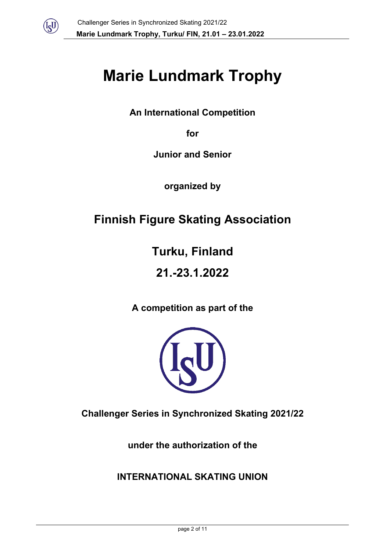

# **Marie Lundmark Trophy**

**An International Competition** 

**for** 

**Junior and Senior**

**organized by**

# **Finnish Figure Skating Association**

**Turku, Finland**

**21.-23.1.2022**

**A competition as part of the**



**Challenger Series in Synchronized Skating 2021/22**

**under the authorization of the** 

**INTERNATIONAL SKATING UNION**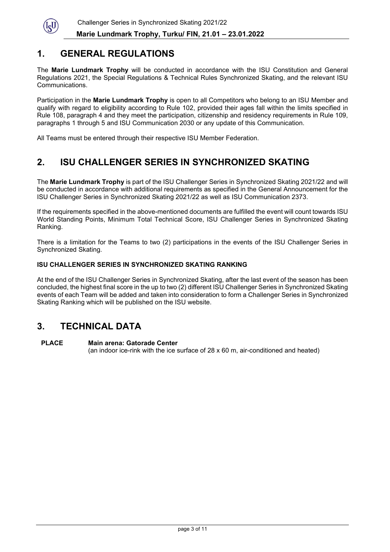

#### **1. GENERAL REGULATIONS**

The **Marie Lundmark Trophy** will be conducted in accordance with the ISU Constitution and General Regulations 2021, the Special Regulations & Technical Rules Synchronized Skating, and the relevant ISU Communications.

Participation in the **Marie Lundmark Trophy** is open to all Competitors who belong to an ISU Member and qualify with regard to eligibility according to Rule 102, provided their ages fall within the limits specified in Rule 108, paragraph 4 and they meet the participation, citizenship and residency requirements in Rule 109, paragraphs 1 through 5 and ISU Communication 2030 or any update of this Communication.

All Teams must be entered through their respective ISU Member Federation.

# **2. ISU CHALLENGER SERIES IN SYNCHRONIZED SKATING**

The **Marie Lundmark Trophy** is part of the ISU Challenger Series in Synchronized Skating 2021/22 and will be conducted in accordance with additional requirements as specified in the General Announcement for the ISU Challenger Series in Synchronized Skating 2021/22 as well as ISU Communication 2373.

If the requirements specified in the above-mentioned documents are fulfilled the event will count towards ISU World Standing Points, Minimum Total Technical Score, ISU Challenger Series in Synchronized Skating Ranking.

There is a limitation for the Teams to two (2) participations in the events of the ISU Challenger Series in Synchronized Skating.

#### **ISU CHALLENGER SERIES IN SYNCHRONIZED SKATING RANKING**

At the end of the ISU Challenger Series in Synchronized Skating, after the last event of the season has been concluded, the highest final score in the up to two (2) different ISU Challenger Series in Synchronized Skating events of each Team will be added and taken into consideration to form a Challenger Series in Synchronized Skating Ranking which will be published on the ISU website.

# **3. TECHNICAL DATA**

#### **PLACE Main arena: Gatorade Center** (an indoor ice-rink with the ice surface of 28 x 60 m, air-conditioned and heated)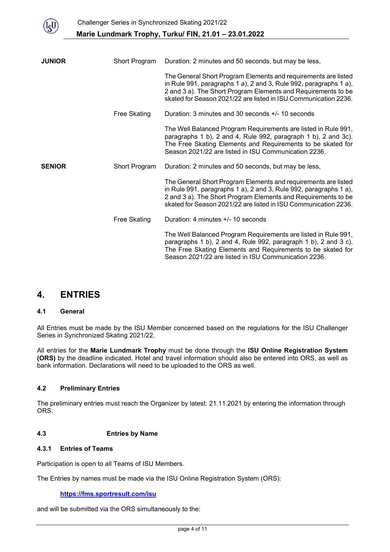

| <b>JUNIOR</b> | Short Program       | Duration: 2 minutes and 50 seconds, but may be less,                                                                                                                                                                                                                    |  |
|---------------|---------------------|-------------------------------------------------------------------------------------------------------------------------------------------------------------------------------------------------------------------------------------------------------------------------|--|
|               |                     | The General Short Program Elements and requirements are listed<br>in Rule 991, paragraphs 1 a), 2 and 3, Rule 992, paragraphs 1 a),<br>2 and 3 a). The Short Program Elements and Requirements to be<br>skated for Season 2021/22 are listed in ISU Communication 2236. |  |
|               | Free Skating        | Duration: 3 minutes and 30 seconds +/- 10 seconds                                                                                                                                                                                                                       |  |
|               |                     | The Well Balanced Program Requirements are listed in Rule 991,<br>paragraphs 1 b), 2 and 4, Rule 992, paragraph 1 b), 2 and 3c).<br>The Free Skating Elements and Requirements to be skated for<br>Season 2021/22 are listed in ISU Communication 2236.                 |  |
| <b>SENIOR</b> | Short Program       | Duration: 2 minutes and 50 seconds, but may be less,                                                                                                                                                                                                                    |  |
|               |                     | The General Short Program Elements and requirements are listed<br>in Rule 991, paragraphs 1 a), 2 and 3, Rule 992, paragraphs 1 a),<br>2 and 3 a). The Short Program Elements and Requirements to be<br>skated for Season 2021/22 are listed in ISU Communication 2236. |  |
|               | <b>Free Skating</b> | Duration: 4 minutes $+/- 10$ seconds                                                                                                                                                                                                                                    |  |
|               |                     | The Well Balanced Program Requirements are listed in Rule 991,<br>paragraphs 1 b), 2 and 4, Rule 992, paragraph 1 b), 2 and 3 c).<br>The Free Skating Elements and Requirements to be skated for<br>Season 2021/22 are listed in ISU Communication 2236.                |  |

# **4. ENTRIES**

#### **4.1 General**

All Entries must be made by the ISU Member concerned based on the regulations for the ISU Challenger Series in Synchronized Skating 2021/22.

All entries for the **Marie Lundmark Trophy** must be done through the **ISU Online Registration System (ORS)** by the deadline indicated. Hotel and travel information should also be entered into ORS, as well as bank information. Declarations will need to be uploaded to the ORS as well.

#### **4.2 Preliminary Entries**

The preliminary entries must reach the Organizer by latest: 21.11.2021 by entering the information through ORS.

#### **4.3 Entries by Name**

#### **4.3.1 Entries of Teams**

Participation is open to all Teams of ISU Members.

The Entries by names must be made via the ISU Online Registration System (ORS):

#### **<https://fms.sportresult.com/isu>**

and will be submitted via the ORS simultaneously to the: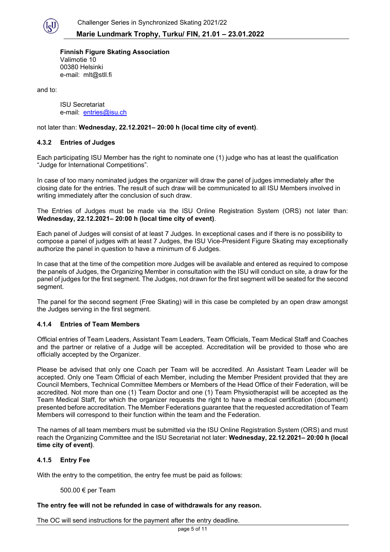

**Finnish Figure Skating Association** Valimotie 10 00380 Helsinki e-mail: mlt@stll.fi

and to:

ISU Secretariat e-mail: [entries@isu.ch](mailto:entries@isu.ch)

not later than: **Wednesday, 22.12.2021– 20:00 h (local time city of event)**.

#### **4.3.2 Entries of Judges**

Each participating ISU Member has the right to nominate one (1) judge who has at least the qualification "Judge for International Competitions".

In case of too many nominated judges the organizer will draw the panel of judges immediately after the closing date for the entries. The result of such draw will be communicated to all ISU Members involved in writing immediately after the conclusion of such draw.

The Entries of Judges must be made via the ISU Online Registration System (ORS) not later than: **Wednesday, 22.12.2021– 20:00 h (local time city of event)**.

Each panel of Judges will consist of at least 7 Judges. In exceptional cases and if there is no possibility to compose a panel of judges with at least 7 Judges, the ISU Vice-President Figure Skating may exceptionally authorize the panel in question to have a minimum of 6 Judges.

In case that at the time of the competition more Judges will be available and entered as required to compose the panels of Judges, the Organizing Member in consultation with the ISU will conduct on site, a draw for the panel of judges for the first segment. The Judges, not drawn for the first segment will be seated for the second segment.

The panel for the second segment (Free Skating) will in this case be completed by an open draw amongst the Judges serving in the first segment.

#### **4.1.4 Entries of Team Members**

Official entries of Team Leaders, Assistant Team Leaders, Team Officials, Team Medical Staff and Coaches and the partner or relative of a Judge will be accepted. Accreditation will be provided to those who are officially accepted by the Organizer.

Please be advised that only one Coach per Team will be accredited. An Assistant Team Leader will be accepted. Only one Team Official of each Member, including the Member President provided that they are Council Members, Technical Committee Members or Members of the Head Office of their Federation, will be accredited. Not more than one (1) Team Doctor and one (1) Team Physiotherapist will be accepted as the Team Medical Staff, for which the organizer requests the right to have a medical certification (document) presented before accreditation. The Member Federations guarantee that the requested accreditation of Team Members will correspond to their function within the team and the Federation.

The names of all team members must be submitted via the ISU Online Registration System (ORS) and must reach the Organizing Committee and the ISU Secretariat not later: **Wednesday, 22.12.2021– 20:00 h (local time city of event)**.

#### **4.1.5 Entry Fee**

With the entry to the competition, the entry fee must be paid as follows:

500.00 € per Team

#### **The entry fee will not be refunded in case of withdrawals for any reason.**

The OC will send instructions for the payment after the entry deadline.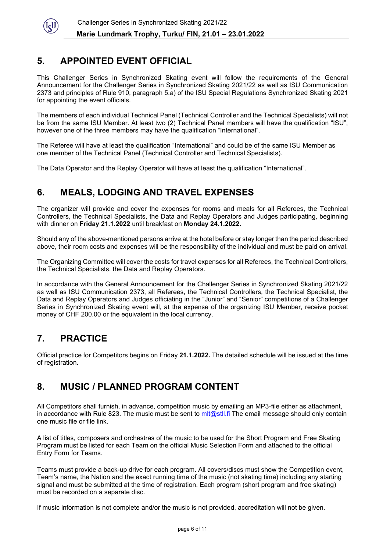

# **5. APPOINTED EVENT OFFICIAL**

This Challenger Series in Synchronized Skating event will follow the requirements of the General Announcement for the Challenger Series in Synchronized Skating 2021/22 as well as ISU Communication 2373 and principles of Rule 910, paragraph 5.a) of the ISU Special Regulations Synchronized Skating 2021 for appointing the event officials.

The members of each individual Technical Panel (Technical Controller and the Technical Specialists) will not be from the same ISU Member. At least two (2) Technical Panel members will have the qualification "ISU", however one of the three members may have the qualification "International".

The Referee will have at least the qualification "International" and could be of the same ISU Member as one member of the Technical Panel (Technical Controller and Technical Specialists).

The Data Operator and the Replay Operator will have at least the qualification "International".

# **6. MEALS, LODGING AND TRAVEL EXPENSES**

The organizer will provide and cover the expenses for rooms and meals for all Referees, the Technical Controllers, the Technical Specialists, the Data and Replay Operators and Judges participating, beginning with dinner on **Friday 21.1.2022** until breakfast on **Monday 24.1.2022.**

Should any of the above-mentioned persons arrive at the hotel before or stay longer than the period described above, their room costs and expenses will be the responsibility of the individual and must be paid on arrival.

The Organizing Committee will cover the costs for travel expenses for all Referees, the Technical Controllers, the Technical Specialists, the Data and Replay Operators.

In accordance with the General Announcement for the Challenger Series in Synchronized Skating 2021/22 as well as ISU Communication 2373, all Referees, the Technical Controllers, the Technical Specialist, the Data and Replay Operators and Judges officiating in the "Junior" and "Senior" competitions of a Challenger Series in Synchronized Skating event will, at the expense of the organizing ISU Member, receive pocket money of CHF 200.00 or the equivalent in the local currency.

# **7. PRACTICE**

Official practice for Competitors begins on Friday **21.1.2022.** The detailed schedule will be issued at the time of registration.

# **8. MUSIC / PLANNED PROGRAM CONTENT**

All Competitors shall furnish, in advance, competition music by emailing an MP3-file either as attachment, in accordance with Rule 823. The music must be sent to mit  $\omega$ stll. fi The email message should only contain one music file or file link.

A list of titles, composers and orchestras of the music to be used for the Short Program and Free Skating Program must be listed for each Team on the official Music Selection Form and attached to the official Entry Form for Teams.

Teams must provide a back-up drive for each program. All covers/discs must show the Competition event, Team's name, the Nation and the exact running time of the music (not skating time) including any starting signal and must be submitted at the time of registration. Each program (short program and free skating) must be recorded on a separate disc.

If music information is not complete and/or the music is not provided, accreditation will not be given.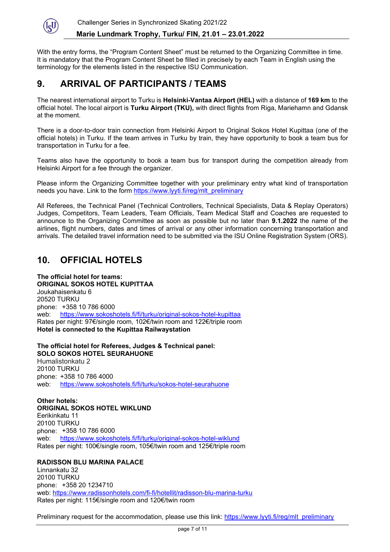

With the entry forms, the "Program Content Sheet" must be returned to the Organizing Committee in time. It is mandatory that the Program Content Sheet be filled in precisely by each Team in English using the terminology for the elements listed in the respective ISU Communication.

#### **9. ARRIVAL OF PARTICIPANTS / TEAMS**

The nearest international airport to Turku is **Helsinki-Vantaa Airport (HEL)** with a distance of **169 km** to the official hotel. The local airport is **Turku Airport (TKU),** with direct flights from Riga, Mariehamn and Gdansk at the moment.

There is a door-to-door train connection from Helsinki Airport to Original Sokos Hotel Kupittaa (one of the official hotels) in Turku. If the team arrives in Turku by train, they have opportunity to book a team bus for transportation in Turku for a fee.

Teams also have the opportunity to book a team bus for transport during the competition already from Helsinki Airport for a fee through the organizer.

Please inform the Organizing Committee together with your preliminary entry what kind of transportation needs you have. Link to the form [https://www.lyyti.fi/reg/mlt\\_preliminary](https://www.lyyti.fi/reg/mlt_preliminary)

All Referees, the Technical Panel (Technical Controllers, Technical Specialists, Data & Replay Operators) Judges, Competitors, Team Leaders, Team Officials, Team Medical Staff and Coaches are requested to announce to the Organizing Committee as soon as possible but no later than **9.1.2022** the name of the airlines, flight numbers, dates and times of arrival or any other information concerning transportation and arrivals. The detailed travel information need to be submitted via the ISU Online Registration System (ORS).

# **10. OFFICIAL HOTELS**

**The official hotel for teams: ORIGINAL SOKOS HOTEL KUPITTAA** Joukahaisenkatu 6 20520 TURKU phone: +358 10 786 6000 web: <https://www.sokoshotels.fi/fi/turku/original-sokos-hotel-kupittaa> Rates per night: 97€/single room, 102€/twin room and 122€/triple room **Hotel is connected to the Kupittaa Railwaystation**

**The official hotel for Referees, Judges & Technical panel:**

**SOLO SOKOS HOTEL SEURAHUONE** Humalistonkatu 2 20100 TURKU phone: +358 10 786 4000 web: [https://www.sokoshotels.fi/fi/turku/sokos-hotel-seurahuone](https://www.sokoshotels.fi/fi/turku/original-sokos-hotel-seurahuone)

**Other hotels: ORIGINAL SOKOS HOTEL WIKLUND** Eerikinkatu 11 20100 TURKU phone: +358 10 786 6000 web: [https://www.sokoshotels.fi/fi/turku/original-sokos-hotel-wiklund](https://www.sokoshotels.fi/fi/turku/original-sokos-hotel-wiklundkupittaa) Rates per night: 100€/single room, 105€/twin room and 125€/triple room

#### **RADISSON BLU MARINA PALACE**

Linnankatu 32 20100 TURKU phone: +358 20 1234710 web:<https://www.radissonhotels.com/fi-fi/hotellit/radisson-blu-marina-turku> Rates per night: 115€/single room and 120€/twin room

Preliminary request for the accommodation, please use this link: [https://www.lyyti.fi/reg/mlt\\_preliminary](https://www.lyyti.fi/reg/mlt_preliminary)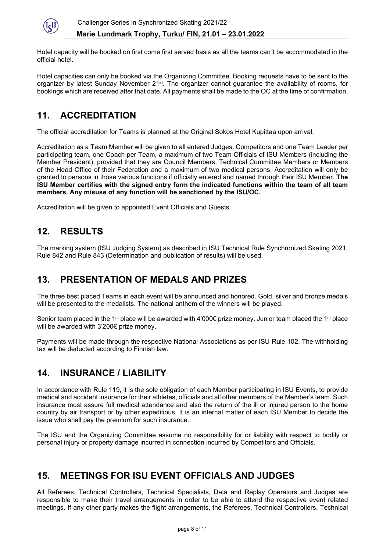

Hotel capacity will be booked on first come first served basis as all the teams can´t be accommodated in the official hotel.

Hotel capacities can only be booked via the Organizing Committee. Booking requests have to be sent to the organizer by latest Sunday November 21<sup>st</sup>. The organizer cannot guarantee the availability of rooms, for bookings which are received after that date. All payments shall be made to the OC at the time of confirmation.

# **11. ACCREDITATION**

The official accreditation for Teams is planned at the Original Sokos Hotel Kupittaa upon arrival.

Accreditation as a Team Member will be given to all entered Judges, Competitors and one Team Leader per participating team, one Coach per Team, a maximum of two Team Officials of ISU Members (including the Member President), provided that they are Council Members, Technical Committee Members or Members of the Head Office of their Federation and a maximum of two medical persons. Accreditation will only be granted to persons in those various functions if officially entered and named through their ISU Member. **The ISU Member certifies with the signed entry form the indicated functions within the team of all team members. Any misuse of any function will be sanctioned by the ISU/OC.**

Accreditation will be given to appointed Event Officials and Guests.

# **12. RESULTS**

The marking system (ISU Judging System) as described in ISU Technical Rule Synchronized Skating 2021, Rule 842 and Rule 843 (Determination and publication of results) will be used.

# **13. PRESENTATION OF MEDALS AND PRIZES**

The three best placed Teams in each event will be announced and honored. Gold, silver and bronze medals will be presented to the medalists. The national anthem of the winners will be played.

Senior team placed in the 1<sup>st</sup> place will be awarded with 4'000€ prize money. Junior team placed the 1<sup>st</sup> place will be awarded with 3'200€ prize money.

Payments will be made through the respective National Associations as per ISU Rule 102. The withholding tax will be deducted according to Finnish law.

# **14. INSURANCE / LIABILITY**

In accordance with Rule 119, it is the sole obligation of each Member participating in ISU Events, to provide medical and accident insurance for their athletes, officials and all other members of the Member's team. Such insurance must assure full medical attendance and also the return of the ill or injured person to the home country by air transport or by other expeditious. It is an internal matter of each ISU Member to decide the issue who shall pay the premium for such insurance.

The ISU and the Organizing Committee assume no responsibility for or liability with respect to bodily or personal injury or property damage incurred in connection incurred by Competitors and Officials.

# **15. MEETINGS FOR ISU EVENT OFFICIALS AND JUDGES**

All Referees, Technical Controllers, Technical Specialists, Data and Replay Operators and Judges are responsible to make their travel arrangements in order to be able to attend the respective event related meetings. If any other party makes the flight arrangements, the Referees, Technical Controllers, Technical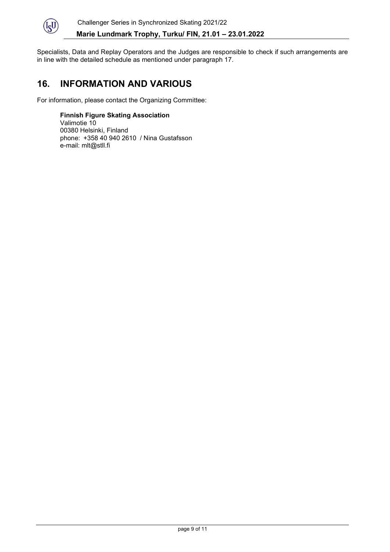

Specialists, Data and Replay Operators and the Judges are responsible to check if such arrangements are in line with the detailed schedule as mentioned under paragraph 17.

### **16. INFORMATION AND VARIOUS**

For information, please contact the Organizing Committee:

**Finnish Figure Skating Association** Valimotie 10 00380 Helsinki, Finland phone: +358 40 940 2610 / Nina Gustafsson e-mail: mlt@stll.fi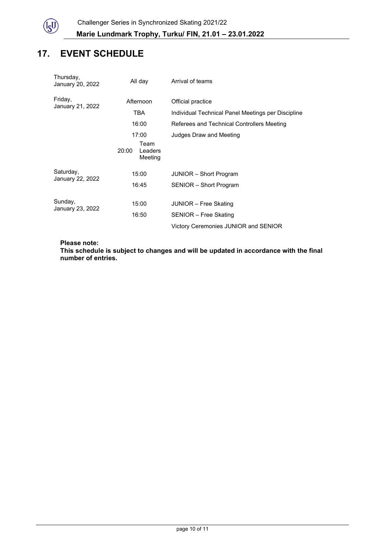

# **17. EVENT SCHEDULE**

| Thursday,<br>January 20, 2022 | All day                                      | Arrival of teams                                              |  |
|-------------------------------|----------------------------------------------|---------------------------------------------------------------|--|
| Friday,<br>January 21, 2022   | Afternoon                                    | Official practice                                             |  |
|                               | TBA                                          | Individual Technical Panel Meetings per Discipline            |  |
|                               | 16:00                                        | Referees and Technical Controllers Meeting                    |  |
|                               | 17:00<br>Team<br>20:00<br>Leaders<br>Meeting | Judges Draw and Meeting                                       |  |
| Saturday,<br>January 22, 2022 | 15:00                                        | JUNIOR - Short Program                                        |  |
|                               | 16:45                                        | SENIOR - Short Program                                        |  |
| Sunday,<br>January 23, 2022   | 15:00<br>16:50                               | JUNIOR - Free Skating                                         |  |
|                               |                                              | SENIOR - Free Skating<br>Victory Ceremonies JUNIOR and SENIOR |  |
|                               |                                              |                                                               |  |

**Please note:**

**This schedule is subject to changes and will be updated in accordance with the final number of entries.**